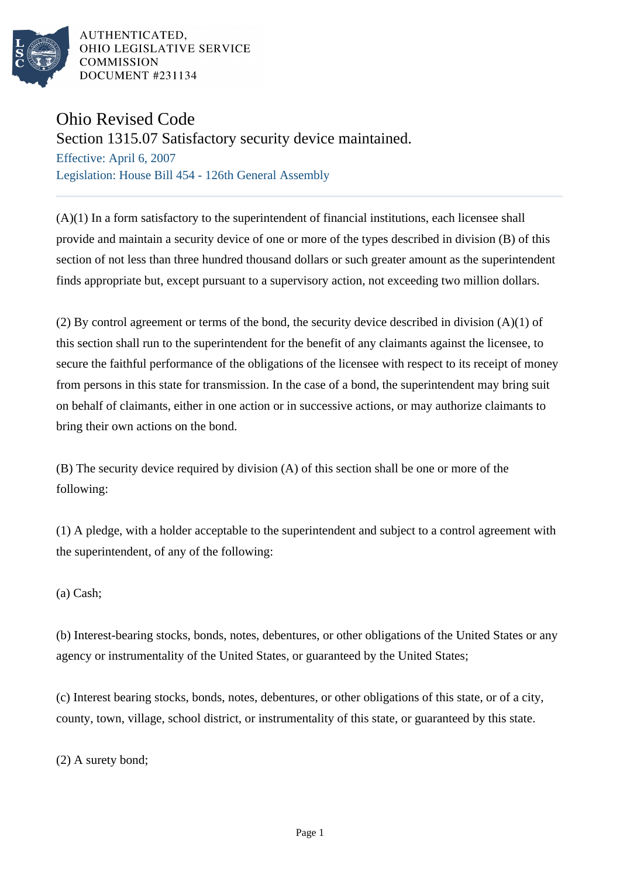

AUTHENTICATED, OHIO LEGISLATIVE SERVICE **COMMISSION** DOCUMENT #231134

## Ohio Revised Code

Section 1315.07 Satisfactory security device maintained.

Effective: April 6, 2007 Legislation: House Bill 454 - 126th General Assembly

 $(A)(1)$  In a form satisfactory to the superintendent of financial institutions, each licensee shall provide and maintain a security device of one or more of the types described in division (B) of this section of not less than three hundred thousand dollars or such greater amount as the superintendent finds appropriate but, except pursuant to a supervisory action, not exceeding two million dollars.

(2) By control agreement or terms of the bond, the security device described in division (A)(1) of this section shall run to the superintendent for the benefit of any claimants against the licensee, to secure the faithful performance of the obligations of the licensee with respect to its receipt of money from persons in this state for transmission. In the case of a bond, the superintendent may bring suit on behalf of claimants, either in one action or in successive actions, or may authorize claimants to bring their own actions on the bond.

(B) The security device required by division (A) of this section shall be one or more of the following:

(1) A pledge, with a holder acceptable to the superintendent and subject to a control agreement with the superintendent, of any of the following:

(a) Cash;

(b) Interest-bearing stocks, bonds, notes, debentures, or other obligations of the United States or any agency or instrumentality of the United States, or guaranteed by the United States;

(c) Interest bearing stocks, bonds, notes, debentures, or other obligations of this state, or of a city, county, town, village, school district, or instrumentality of this state, or guaranteed by this state.

(2) A surety bond;